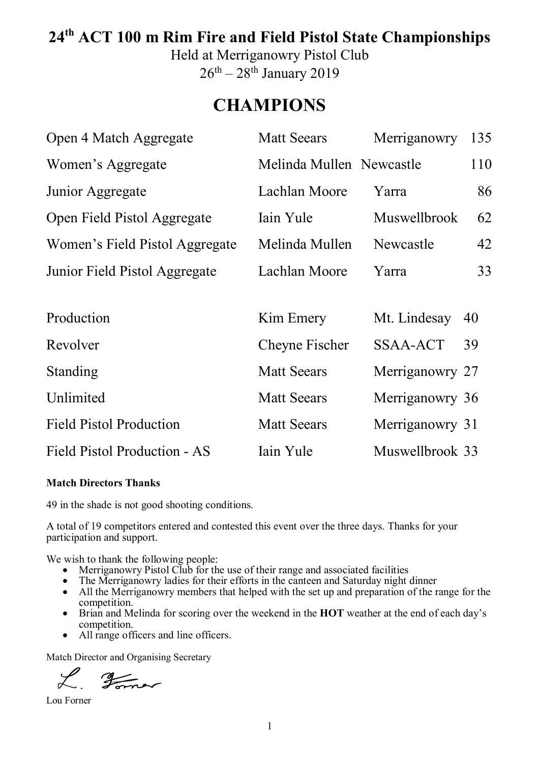## **24th ACT 100 m Rim Fire and Field Pistol State Championships**

Held at Merriganowry Pistol Club  $26<sup>th</sup> - 28<sup>th</sup>$  January 2019

## **CHAMPIONS**

| Open 4 Match Aggregate         | <b>Matt Seears</b>       | Merriganowry    | 135 |
|--------------------------------|--------------------------|-----------------|-----|
| Women's Aggregate              | Melinda Mullen Newcastle |                 | 110 |
| Junior Aggregate               | Lachlan Moore            | Yarra           | 86  |
| Open Field Pistol Aggregate    | Iain Yule                | Muswellbrook    | 62  |
| Women's Field Pistol Aggregate | Melinda Mullen           | Newcastle       | 42  |
| Junior Field Pistol Aggregate  | Lachlan Moore            | Yarra           | 33  |
|                                |                          |                 |     |
| Production                     | Kim Emery                | Mt. Lindesay    | 40  |
| Revolver                       | Cheyne Fischer           | SSAA-ACT        | 39  |
| Standing                       | <b>Matt Seears</b>       | Merriganowry 27 |     |
| Unlimited                      | <b>Matt Seears</b>       | Merriganowry 36 |     |
| <b>Field Pistol Production</b> | <b>Matt Seears</b>       | Merriganowry 31 |     |
| Field Pistol Production - AS   | Iain Yule                | Muswellbrook 33 |     |

#### **Match Directors Thanks**

49 in the shade is not good shooting conditions.

A total of 19 competitors entered and contested this event over the three days. Thanks for your participation and support.

We wish to thank the following people:

- Merriganowry Pistol Club for the use of their range and associated facilities
- The Merriganowry ladies for their efforts in the canteen and Saturday night dinner
- All the Merriganowry members that helped with the set up and preparation of the range for the competition.
- Brian and Melinda for scoring over the weekend in the **HOT** weather at the end of each day's competition.
- All range officers and line officers.

Match Director and Organising Secretary

L Former

Lou Forner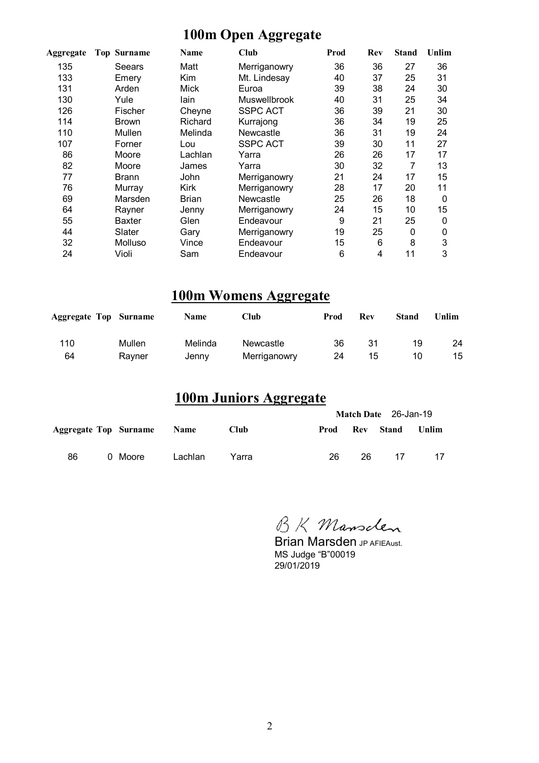### **100m Open Aggregate**

| Aggregate | <b>Top Surname</b> | <b>Name</b>  | <b>Club</b>         | Prod | Rev | <b>Stand</b> | Unlim |
|-----------|--------------------|--------------|---------------------|------|-----|--------------|-------|
| 135       | Seears             | Matt         | Merriganowry        | 36   | 36  | 27           | 36    |
| 133       | Emery              | Kim          | Mt. Lindesay        | 40   | 37  | 25           | 31    |
| 131       | Arden              | Mick         | Euroa               | 39   | 38  | 24           | 30    |
| 130       | Yule               | lain         | <b>Muswellbrook</b> | 40   | 31  | 25           | 34    |
| 126       | Fischer            | Cheyne       | SSPC ACT            | 36   | 39  | 21           | 30    |
| 114       | <b>Brown</b>       | Richard      | Kurrajong           | 36   | 34  | 19           | 25    |
| 110       | Mullen             | Melinda      | Newcastle           | 36   | 31  | 19           | 24    |
| 107       | Forner             | Lou          | <b>SSPC ACT</b>     | 39   | 30  | 11           | 27    |
| 86        | Moore              | Lachlan      | Yarra               | 26   | 26  | 17           | 17    |
| 82        | Moore              | James        | Yarra               | 30   | 32  | 7            | 13    |
| 77        | <b>Brann</b>       | John         | Merriganowry        | 21   | 24  | 17           | 15    |
| 76        | Murray             | Kirk         | Merriganowry        | 28   | 17  | 20           | 11    |
| 69        | Marsden            | <b>Brian</b> | Newcastle           | 25   | 26  | 18           | 0     |
| 64        | Rayner             | Jenny        | Merriganowry        | 24   | 15  | 10           | 15    |
| 55        | <b>Baxter</b>      | Glen         | Endeavour           | 9    | 21  | 25           | 0     |
| 44        | Slater             | Gary         | Merriganowry        | 19   | 25  | 0            | 0     |
| 32        | Molluso            | Vince        | Endeavour           | 15   | 6   | 8            | 3     |
| 24        | Violi              | Sam          | Endeavour           | 6    | 4   | 11           | 3     |

## **100m Womens Aggregate**

| <b>Aggregate Top Surname</b> |        | Name    | Club         | Prod | Rev | <b>Stand</b> | Unlim |
|------------------------------|--------|---------|--------------|------|-----|--------------|-------|
| 110                          | Mullen | Melinda | Newcastle    | 36   | -31 | 19           | 24    |
| 64                           | Ravner | Jenny   | Merriganowry | 24   | 15  | 10           | 15    |

## **100m Juniors Aggregate**

|    |                            |         |             | Match Date 26-Jan-19 |     |                 |    |  |  |
|----|----------------------------|---------|-------------|----------------------|-----|-----------------|----|--|--|
|    | Aggregate Top Surname Name |         | <b>Club</b> | Prod                 |     | Rev Stand Unlim |    |  |  |
| 86 | 0 Moore                    | Lachlan | Yarra       | 26.                  | 26. | 17              | 17 |  |  |

BK Mansclen

**Brian Marsden JP AFIEAust.** MS Judge "B"00019 29/01/2019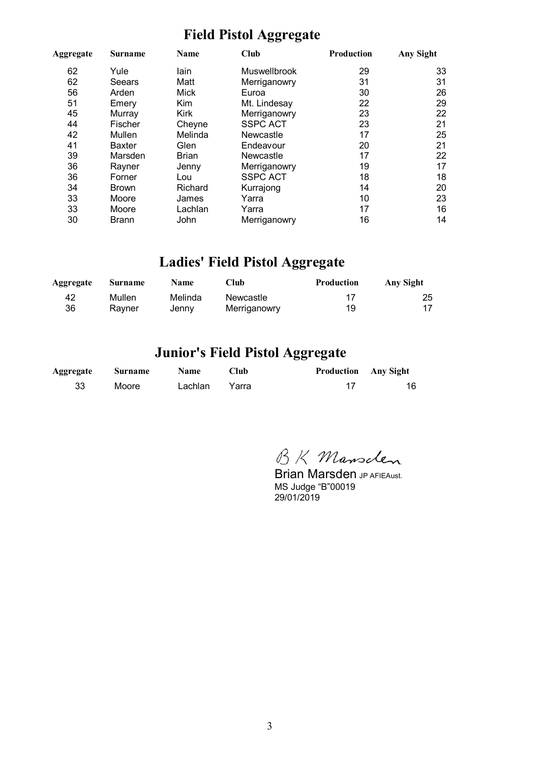## **Field Pistol Aggregate**

| <b>Surname</b><br>Aggregate |               | <b>Name</b>  | Club            | Production | Any Sight |  |
|-----------------------------|---------------|--------------|-----------------|------------|-----------|--|
| 62                          | Yule          | lain         | Muswellbrook    | 29         | 33        |  |
| 62                          | Seears        | Matt         | Merriganowry    | 31         | 31        |  |
| 56                          | Arden         | Mick         | Euroa           | 30         | 26        |  |
| 51                          | Emery         | Kim          | Mt. Lindesay    | 22         | 29        |  |
| 45                          | Murray        | <b>Kirk</b>  | Merriganowry    | 23         | 22        |  |
| 44                          | Fischer       | Cheyne       | <b>SSPC ACT</b> | 23         | 21        |  |
| 42                          | Mullen        | Melinda      | Newcastle       | 17         | 25        |  |
| 41                          | <b>Baxter</b> | Glen         | Endeavour       | 20         | 21        |  |
| 39                          | Marsden       | <b>Brian</b> | Newcastle       | 17         | 22        |  |
| 36                          | Rayner        | Jenny        | Merriganowry    | 19         | 17        |  |
| 36                          | Forner        | Lou          | <b>SSPC ACT</b> | 18         | 18        |  |
| 34                          | <b>Brown</b>  | Richard      | Kurrajong       | 14         | 20        |  |
| 33                          | Moore         | James        | Yarra           | 10         | 23        |  |
| 33                          | Moore         | Lachlan      | Yarra           | 17         | 16        |  |
| 30                          | Brann         | John         | Merriganowry    | 16         | 14        |  |

## **Ladies' Field Pistol Aggregate**

| Aggregate | Surname | <b>Name</b> | <b>Club</b>  | <b>Production</b> | Any Sight |
|-----------|---------|-------------|--------------|-------------------|-----------|
| 42        | Mullen  | Melinda     | Newcastle    | 17                | 25        |
| 36        | Ravner  | Jenny       | Merriganowry | 19                |           |

## **Junior's Field Pistol Aggregate**

| Aggregate | Surname | <b>Name</b> | Club  | <b>Production</b> Any Sight |    |
|-----------|---------|-------------|-------|-----------------------------|----|
| 33        | Moore   | Lachlan     | Yarra |                             | 16 |

BK Mansclen

**Brian Marsden JP AFIEAust.** MS Judge "B"00019 29/01/2019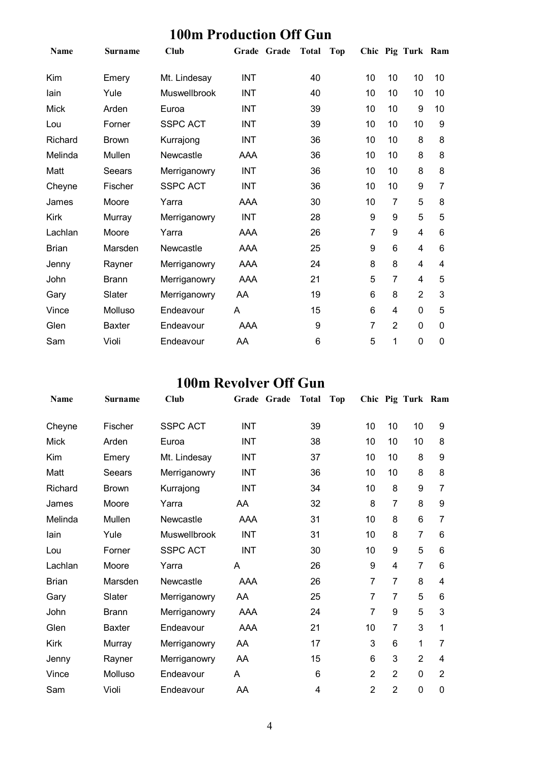| Tunii Thannan Oli Anii |                |                 |            |             |              |     |    |                |                   |    |
|------------------------|----------------|-----------------|------------|-------------|--------------|-----|----|----------------|-------------------|----|
| <b>Name</b>            | <b>Surname</b> | <b>Club</b>     |            | Grade Grade | <b>Total</b> | Top |    |                | Chic Pig Turk Ram |    |
| Kim                    | Emery          | Mt. Lindesay    | <b>INT</b> |             | 40           |     | 10 | 10             | 10                | 10 |
| lain                   | Yule           | Muswellbrook    | <b>INT</b> |             | 40           |     | 10 | 10             | 10                | 10 |
| <b>Mick</b>            | Arden          | Euroa           | <b>INT</b> |             | 39           |     | 10 | 10             | 9                 | 10 |
| Lou                    | Forner         | <b>SSPC ACT</b> | <b>INT</b> |             | 39           |     | 10 | 10             | 10                | 9  |
| Richard                | <b>Brown</b>   | Kurrajong       | <b>INT</b> |             | 36           |     | 10 | 10             | 8                 | 8  |
| Melinda                | Mullen         | Newcastle       | AAA        |             | 36           |     | 10 | 10             | 8                 | 8  |
| Matt                   | <b>Seears</b>  | Merriganowry    | <b>INT</b> |             | 36           |     | 10 | 10             | 8                 | 8  |
| Cheyne                 | Fischer        | <b>SSPC ACT</b> | <b>INT</b> |             | 36           |     | 10 | 10             | 9                 | 7  |
| James                  | Moore          | Yarra           | AAA        |             | 30           |     | 10 | $\overline{7}$ | 5                 | 8  |
| <b>Kirk</b>            | Murray         | Merriganowry    | <b>INT</b> |             | 28           |     | 9  | 9              | 5                 | 5  |
| Lachlan                | Moore          | Yarra           | AAA        |             | 26           |     | 7  | 9              | 4                 | 6  |
| <b>Brian</b>           | Marsden        | Newcastle       | AAA        |             | 25           |     | 9  | $6\phantom{1}$ | 4                 | 6  |
| Jenny                  | Rayner         | Merriganowry    | AAA        |             | 24           |     | 8  | 8              | 4                 | 4  |
| John                   | <b>Brann</b>   | Merriganowry    | <b>AAA</b> |             | 21           |     | 5  | 7              | 4                 | 5  |
| Gary                   | Slater         | Merriganowry    | AA         |             | 19           |     | 6  | 8              | $\overline{2}$    | 3  |
| Vince                  | Molluso        | Endeavour       | A          |             | 15           |     | 6  | $\overline{4}$ | 0                 | 5  |
| Glen                   | <b>Baxter</b>  | Endeavour       | AAA        |             | 9            |     | 7  | $\overline{2}$ | 0                 | 0  |
| Sam                    | Violi          | Endeavour       | AA         |             | 6            |     | 5  | 1              | 0                 | 0  |

#### **100m Production Off Gun**

#### **100m Revolver Off Gun**

| <b>Name</b>  | <b>Surname</b> | Club            | Grade<br>Grade | <b>Total</b><br>Top |                |                | Chic Pig Turk Ram |                |
|--------------|----------------|-----------------|----------------|---------------------|----------------|----------------|-------------------|----------------|
| Cheyne       | Fischer        | <b>SSPC ACT</b> | <b>INT</b>     | 39                  | 10             | 10             | 10                | 9              |
| <b>Mick</b>  | Arden          | Euroa           | <b>INT</b>     | 38                  | 10             | 10             | 10                | 8              |
| Kim          | Emery          | Mt. Lindesay    | <b>INT</b>     | 37                  | 10             | 10             | 8                 | 9              |
| Matt         | Seears         | Merriganowry    | <b>INT</b>     | 36                  | 10             | 10             | 8                 | 8              |
| Richard      | <b>Brown</b>   | Kurrajong       | <b>INT</b>     | 34                  | 10             | 8              | 9                 | 7              |
| James        | Moore          | Yarra           | AA             | 32                  | 8              | $\overline{7}$ | 8                 | 9              |
| Melinda      | Mullen         | Newcastle       | AAA            | 31                  | 10             | 8              | 6                 | 7              |
| lain         | Yule           | Muswellbrook    | <b>INT</b>     | 31                  | 10             | 8              | 7                 | 6              |
| Lou          | Forner         | <b>SSPC ACT</b> | <b>INT</b>     | 30                  | 10             | 9              | 5                 | 6              |
| Lachlan      | Moore          | Yarra           | Α              | 26                  | 9              | 4              | 7                 | 6              |
| <b>Brian</b> | Marsden        | Newcastle       | AAA            | 26                  | 7              | 7              | 8                 | 4              |
| Gary         | Slater         | Merriganowry    | AA             | 25                  | 7              | 7              | 5                 | 6              |
| John         | <b>Brann</b>   | Merriganowry    | AAA            | 24                  | 7              | 9              | 5                 | 3              |
| Glen         | <b>Baxter</b>  | Endeavour       | AAA            | 21                  | 10             | 7              | 3                 | 1              |
| Kirk         | Murray         | Merriganowry    | AA             | 17                  | 3              | 6              | 1                 | 7              |
| Jenny        | Rayner         | Merriganowry    | AA             | 15                  | 6              | 3              | $\overline{2}$    | 4              |
| Vince        | Molluso        | Endeavour       | A              | 6                   | $\overline{2}$ | $\overline{2}$ | 0                 | $\overline{2}$ |
| Sam          | Violi          | Endeavour       | AA             | 4                   | $\overline{2}$ | $\overline{2}$ | 0                 | 0              |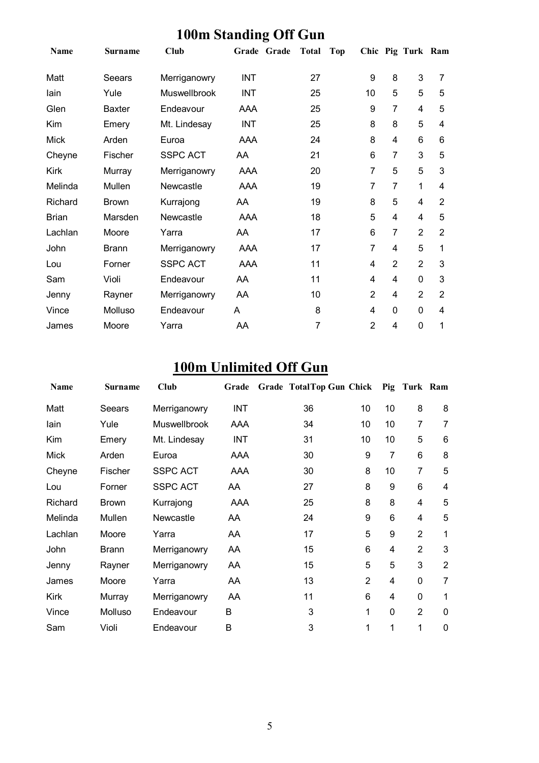| $100 \text{m}$ Dennami<br>$\mathbf{v}$ |                |                 |            |             |              |            |                  |                         |                   |                |
|----------------------------------------|----------------|-----------------|------------|-------------|--------------|------------|------------------|-------------------------|-------------------|----------------|
| <b>Name</b>                            | <b>Surname</b> | <b>Club</b>     |            | Grade Grade | <b>Total</b> | <b>Top</b> |                  |                         | Chic Pig Turk Ram |                |
| Matt                                   | Seears         | Merriganowry    | <b>INT</b> |             | 27           |            | $\boldsymbol{9}$ | 8                       | 3                 | 7              |
| lain                                   | Yule           | Muswellbrook    | <b>INT</b> |             | 25           |            | 10               | 5                       | 5                 | 5              |
| Glen                                   | <b>Baxter</b>  | Endeavour       | AAA        |             | 25           |            | $\boldsymbol{9}$ | $\overline{7}$          | 4                 | 5              |
| Kim                                    | Emery          | Mt. Lindesay    | <b>INT</b> |             | 25           |            | 8                | 8                       | 5                 | 4              |
| <b>Mick</b>                            | Arden          | Euroa           | AAA        |             | 24           |            | 8                | $\overline{\mathbf{4}}$ | 6                 | 6              |
| Cheyne                                 | Fischer        | <b>SSPC ACT</b> | AA         |             | 21           |            | 6                | $\overline{7}$          | 3                 | 5              |
| Kirk                                   | Murray         | Merriganowry    | AAA        |             | 20           |            | $\overline{7}$   | 5                       | 5                 | 3              |
| Melinda                                | Mullen         | Newcastle       | AAA        |             | 19           |            | $\overline{7}$   | $\overline{7}$          | 1                 | 4              |
| Richard                                | <b>Brown</b>   | Kurrajong       | AA         |             | 19           |            | 8                | 5                       | 4                 | $\overline{2}$ |
| <b>Brian</b>                           | Marsden        | Newcastle       | AAA        |             | 18           |            | 5                | 4                       | 4                 | 5              |
| Lachlan                                | Moore          | Yarra           | AA         |             | 17           |            | 6                | 7                       | $\overline{2}$    | $\overline{2}$ |
| John                                   | <b>Brann</b>   | Merriganowry    | AAA        |             | 17           |            | $\overline{7}$   | 4                       | 5                 | 1              |
| Lou                                    | Forner         | <b>SSPC ACT</b> | AAA        |             | 11           |            | 4                | $\overline{2}$          | $\overline{2}$    | 3              |
| Sam                                    | Violi          | Endeavour       | AA         |             | 11           |            | 4                | 4                       | 0                 | 3              |
| Jenny                                  | Rayner         | Merriganowry    | AA         |             | 10           |            | $\overline{2}$   | 4                       | $\overline{2}$    | $\overline{2}$ |
| Vince                                  | Molluso        | Endeavour       | A          |             | 8            |            | 4                | 0                       | 0                 | 4              |
| James                                  | Moore          | Yarra           | AA         |             | 7            |            | $\overline{2}$   | 4                       | 0                 | 1              |

#### **100m Standing Off Gun**

## **100m Unlimited Off Gun**

| <b>Name</b> | <b>Surname</b> | <b>Club</b>     | Grade      | <b>Grade TotalTop Gun Chick</b> |                |    | Pig Turk Ram   |                |
|-------------|----------------|-----------------|------------|---------------------------------|----------------|----|----------------|----------------|
| Matt        | Seears         | Merriganowry    | <b>INT</b> | 36                              | 10             | 10 | 8              | 8              |
| lain        | Yule           | Muswellbrook    | AAA        | 34                              | 10             | 10 | 7              | 7              |
| Kim         | Emery          | Mt. Lindesay    | <b>INT</b> | 31                              | 10             | 10 | 5              | 6              |
| <b>Mick</b> | Arden          | Euroa           | AAA        | 30                              | 9              | 7  | 6              | 8              |
| Cheyne      | Fischer        | <b>SSPC ACT</b> | <b>AAA</b> | 30                              | 8              | 10 | $\overline{7}$ | 5              |
| Lou         | Forner         | <b>SSPC ACT</b> | AA         | 27                              | 8              | 9  | 6              | 4              |
| Richard     | <b>Brown</b>   | Kurrajong       | AAA        | 25                              | 8              | 8  | 4              | 5              |
| Melinda     | Mullen         | Newcastle       | AA         | 24                              | 9              | 6  | 4              | 5              |
| Lachlan     | Moore          | Yarra           | AA         | 17                              | 5              | 9  | $\overline{2}$ | 1              |
| John        | <b>Brann</b>   | Merriganowry    | AA         | 15                              | 6              | 4  | $\overline{2}$ | 3              |
| Jenny       | Rayner         | Merriganowry    | AA         | 15                              | 5              | 5  | 3              | $\overline{2}$ |
| James       | Moore          | Yarra           | AA         | 13                              | $\overline{2}$ | 4  | 0              | 7              |
| Kirk        | Murray         | Merriganowry    | AA         | 11                              | 6              | 4  | 0              | 1              |
| Vince       | Molluso        | Endeavour       | B          | 3                               | 1              | 0  | $\overline{2}$ | $\mathbf 0$    |
| Sam         | Violi          | Endeavour       | B          | 3                               | 1              | 1  | 1              | 0              |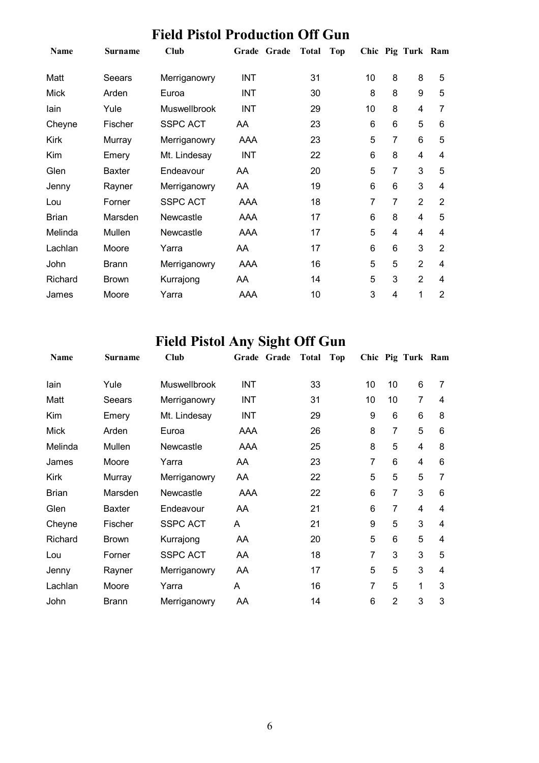## **Field Pistol Production Off Gun**

| <b>Name</b>  | <b>Surname</b> | Club                | Grade Grade | <b>Total</b> | Top            |                | Chic Pig Turk Ram |                |
|--------------|----------------|---------------------|-------------|--------------|----------------|----------------|-------------------|----------------|
| Matt         | Seears         | Merriganowry        | <b>INT</b>  | 31           | 10             | 8              | 8                 | 5              |
| Mick         | Arden          | Euroa               | INT         | 30           | 8              | 8              | 9                 | 5              |
| lain         | Yule           | <b>Muswellbrook</b> | <b>INT</b>  | 29           | 10             | 8              | 4                 | 7              |
| Cheyne       | Fischer        | <b>SSPC ACT</b>     | AA          | 23           | 6              | 6              | 5                 | 6              |
| <b>Kirk</b>  | Murray         | Merriganowry        | <b>AAA</b>  | 23           | 5              | $\overline{7}$ | 6                 | 5              |
| Kim          | Emery          | Mt. Lindesay        | <b>INT</b>  | 22           | $6\phantom{1}$ | 8              | 4                 | 4              |
| Glen         | <b>Baxter</b>  | Endeavour           | AA          | 20           | 5              | 7              | 3                 | 5              |
| Jenny        | Rayner         | Merriganowry        | AA          | 19           | 6              | 6              | 3                 | 4              |
| Lou          | Forner         | <b>SSPC ACT</b>     | <b>AAA</b>  | 18           | 7              | 7              | $\overline{2}$    | $\overline{2}$ |
| <b>Brian</b> | Marsden        | Newcastle           | <b>AAA</b>  | 17           | $6\phantom{1}$ | 8              | 4                 | 5              |
| Melinda      | Mullen         | Newcastle           | <b>AAA</b>  | 17           | 5              | 4              | 4                 | 4              |
| Lachlan      | Moore          | Yarra               | AA          | 17           | $6\phantom{1}$ | 6              | 3                 | $\overline{2}$ |
| John         | <b>Brann</b>   | Merriganowry        | <b>AAA</b>  | 16           | 5              | 5              | $\overline{2}$    | 4              |
| Richard      | <b>Brown</b>   | Kurrajong           | AA          | 14           | 5              | 3              | $\overline{2}$    | 4              |
| James        | Moore          | Yarra               | AAA         | 10           | 3              | 4              | 1                 | $\overline{2}$ |

## **Field Pistol Any Sight Off Gun**

| <b>Name</b>  | <b>Surname</b> | <b>Club</b>     | Grade Grade | <b>Total</b> | Top |    |                | Chic Pig Turk Ram |   |
|--------------|----------------|-----------------|-------------|--------------|-----|----|----------------|-------------------|---|
| lain         | Yule           | Muswellbrook    | <b>INT</b>  | 33           |     | 10 | 10             | 6                 | 7 |
| Matt         | Seears         | Merriganowry    | INT         | 31           |     | 10 | 10             | $\overline{7}$    | 4 |
| Kim          | Emery          | Mt. Lindesay    | INT         | 29           |     | 9  | 6              | 6                 | 8 |
| <b>Mick</b>  | Arden          | Euroa           | AAA         | 26           |     | 8  | $\overline{7}$ | 5                 | 6 |
| Melinda      | Mullen         | Newcastle       | AAA         | 25           |     | 8  | 5              | 4                 | 8 |
| James        | Moore          | Yarra           | AA          | 23           |     | 7  | 6              | 4                 | 6 |
| <b>Kirk</b>  | Murray         | Merriganowry    | AA          | 22           |     | 5  | 5              | 5                 | 7 |
| <b>Brian</b> | Marsden        | Newcastle       | AAA         | 22           |     | 6  | $\overline{7}$ | 3                 | 6 |
| Glen         | <b>Baxter</b>  | Endeavour       | AA          | 21           |     | 6  | $\overline{7}$ | 4                 | 4 |
| Cheyne       | Fischer        | <b>SSPC ACT</b> | A           | 21           |     | 9  | 5              | 3                 | 4 |
| Richard      | <b>Brown</b>   | Kurrajong       | AA          | 20           |     | 5  | 6              | 5                 | 4 |
| Lou          | Forner         | <b>SSPC ACT</b> | AA          | 18           |     | 7  | 3              | 3                 | 5 |
| Jenny        | Rayner         | Merriganowry    | AA          | 17           |     | 5  | 5              | 3                 | 4 |
| Lachlan      | Moore          | Yarra           | A           | 16           |     | 7  | 5              | 1                 | 3 |
| John         | <b>Brann</b>   | Merriganowry    | AA          | 14           |     | 6  | 2              | 3                 | 3 |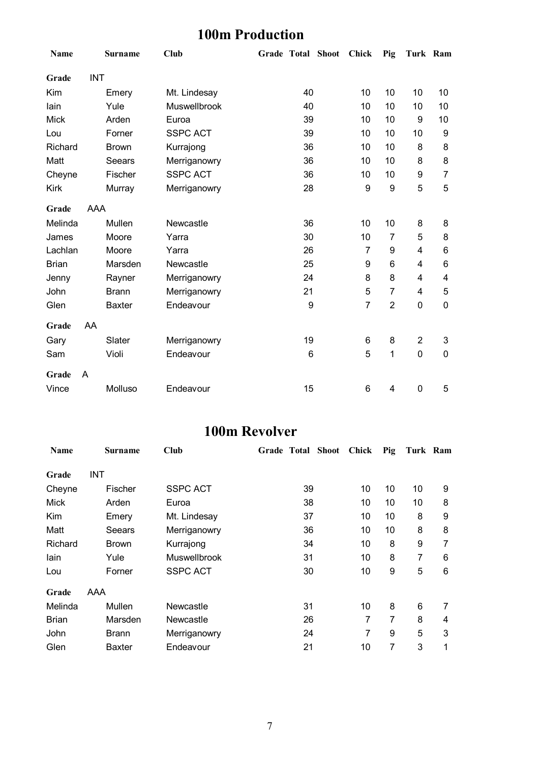## **100m Production**

| Name         |            | <b>Surname</b> | <b>Club</b>     | Grade Total Shoot |                 | Chick            | Pig            | Turk Ram                |                |
|--------------|------------|----------------|-----------------|-------------------|-----------------|------------------|----------------|-------------------------|----------------|
| Grade        | <b>INT</b> |                |                 |                   |                 |                  |                |                         |                |
| Kim          |            | Emery          | Mt. Lindesay    |                   | 40              | 10               | 10             | 10                      | 10             |
| lain         |            | Yule           | Muswellbrook    |                   | 40              | 10               | 10             | 10                      | 10             |
| <b>Mick</b>  |            | Arden          | Euroa           |                   | 39              | 10               | 10             | 9                       | 10             |
| Lou          |            | Forner         | <b>SSPC ACT</b> |                   | 39              | 10               | 10             | 10                      | 9              |
| Richard      |            | <b>Brown</b>   | Kurrajong       |                   | 36              | 10               | 10             | 8                       | 8              |
| Matt         |            | Seears         | Merriganowry    |                   | 36              | 10               | 10             | 8                       | 8              |
| Cheyne       |            | Fischer        | <b>SSPC ACT</b> |                   | 36              | 10               | 10             | 9                       | $\overline{7}$ |
| <b>Kirk</b>  |            | Murray         | Merriganowry    |                   | 28              | 9                | 9              | 5                       | 5              |
| Grade        | <b>AAA</b> |                |                 |                   |                 |                  |                |                         |                |
| Melinda      |            | Mullen         | Newcastle       |                   | 36              | 10               | 10             | 8                       | 8              |
| James        |            | Moore          | Yarra           |                   | 30              | 10               | $\overline{7}$ | 5                       | 8              |
| Lachlan      |            | Moore          | Yarra           |                   | 26              | $\overline{7}$   | 9              | $\overline{\mathbf{4}}$ | 6              |
| <b>Brian</b> |            | Marsden        | Newcastle       |                   | 25              | $\boldsymbol{9}$ | 6              | $\overline{\mathbf{4}}$ | 6              |
| Jenny        |            | Rayner         | Merriganowry    |                   | 24              | 8                | 8              | $\overline{\mathbf{4}}$ | 4              |
| John         |            | <b>Brann</b>   | Merriganowry    |                   | 21              | 5                | $\overline{7}$ | 4                       | 5              |
| Glen         |            | <b>Baxter</b>  | Endeavour       |                   | 9               | $\overline{7}$   | $\overline{2}$ | $\mathbf 0$             | $\mathbf 0$    |
| Grade        | AA         |                |                 |                   |                 |                  |                |                         |                |
| Gary         |            | Slater         | Merriganowry    |                   | 19              | 6                | 8              | $\boldsymbol{2}$        | 3              |
| Sam          |            | Violi          | Endeavour       |                   | $6\phantom{1}6$ | 5                | $\mathbf 1$    | $\overline{0}$          | $\mathbf 0$    |
| Grade        | A          |                |                 |                   |                 |                  |                |                         |                |
| Vince        |            | Molluso        | Endeavour       |                   | 15              | 6                | 4              | $\mathbf 0$             | 5              |

### **100m Revolver**

| <b>Name</b>  | <b>Surname</b> | Club                | Grade Total Shoot | Chick | Pig | Turk Ram |   |
|--------------|----------------|---------------------|-------------------|-------|-----|----------|---|
| Grade        | INT            |                     |                   |       |     |          |   |
| Cheyne       | Fischer        | <b>SSPC ACT</b>     | 39                | 10    | 10  | 10       | 9 |
| <b>Mick</b>  | Arden          | Euroa               | 38                | 10    | 10  | 10       | 8 |
| Kim          | Emery          | Mt. Lindesay        | 37                | 10    | 10  | 8        | 9 |
| Matt         | Seears         | Merriganowry        | 36                | 10    | 10  | 8        | 8 |
| Richard      | <b>Brown</b>   | Kurrajong           | 34                | 10    | 8   | 9        | 7 |
| lain         | Yule           | <b>Muswellbrook</b> | 31                | 10    | 8   | 7        | 6 |
| Lou          | Forner         | <b>SSPC ACT</b>     | 30                | 10    | 9   | 5        | 6 |
| Grade        | AAA            |                     |                   |       |     |          |   |
| Melinda      | Mullen         | Newcastle           | 31                | 10    | 8   | 6        | 7 |
| <b>Brian</b> | Marsden        | Newcastle           | 26                | 7     | 7   | 8        | 4 |
| John         | <b>Brann</b>   | Merriganowry        | 24                | 7     | 9   | 5        | 3 |
| Glen         | <b>Baxter</b>  | Endeavour           | 21                | 10    | 7   | 3        | 1 |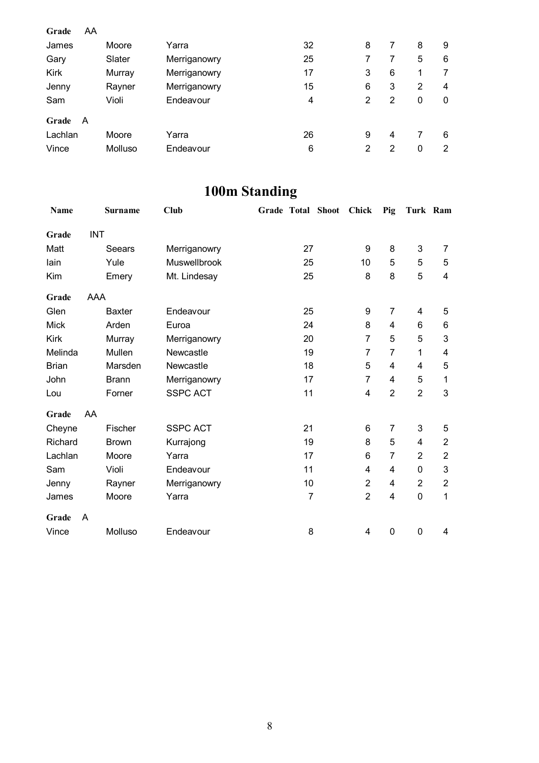| Grade   | AA |         |              |    |                |   |   |   |
|---------|----|---------|--------------|----|----------------|---|---|---|
| James   |    | Moore   | Yarra        | 32 | 8              | 7 | 8 | 9 |
| Gary    |    | Slater  | Merriganowry | 25 |                |   | 5 | 6 |
| Kirk    |    | Murray  | Merriganowry | 17 | 3              | 6 | 1 | 7 |
| Jenny   |    | Rayner  | Merriganowry | 15 | 6              | 3 | 2 | 4 |
| Sam     |    | Violi   | Endeavour    | 4  | 2              | 2 | 0 | 0 |
| Grade   | A  |         |              |    |                |   |   |   |
| Lachlan |    | Moore   | Yarra        | 26 | 9              | 4 |   | 6 |
| Vince   |    | Molluso | Endeavour    | 6  | $\overline{2}$ | 2 | 0 | 2 |

## **100m Standing**

| Name         |            | <b>Surname</b> | <b>Club</b>     | Grade Total Shoot | Chick          | Pig                     | Turk Ram       |                           |
|--------------|------------|----------------|-----------------|-------------------|----------------|-------------------------|----------------|---------------------------|
| Grade        | <b>INT</b> |                |                 |                   |                |                         |                |                           |
| Matt         |            | Seears         | Merriganowry    | 27                | 9              | 8                       | 3              | 7                         |
| lain         |            | Yule           | Muswellbrook    | 25                | 10             | 5                       | 5              | 5                         |
| Kim          |            | Emery          | Mt. Lindesay    | 25                | 8              | 8                       | 5              | 4                         |
| Grade        | AAA        |                |                 |                   |                |                         |                |                           |
| Glen         |            | <b>Baxter</b>  | Endeavour       | 25                | 9              | 7                       | 4              | 5                         |
| <b>Mick</b>  |            | Arden          | Euroa           | 24                | 8              | 4                       | 6              | 6                         |
| <b>Kirk</b>  |            | Murray         | Merriganowry    | 20                | $\overline{7}$ | 5                       | 5              | 3                         |
| Melinda      |            | Mullen         | Newcastle       | 19                | $\overline{7}$ | $\overline{7}$          | 1              | 4                         |
| <b>Brian</b> |            | Marsden        | Newcastle       | 18                | 5              | $\overline{4}$          | 4              | 5                         |
| John         |            | <b>Brann</b>   | Merriganowry    | 17                | $\overline{7}$ | 4                       | 5              | 1                         |
| Lou          |            | Forner         | <b>SSPC ACT</b> | 11                | 4              | $\overline{2}$          | $\overline{2}$ | 3                         |
| Grade        | AA         |                |                 |                   |                |                         |                |                           |
| Cheyne       |            | Fischer        | <b>SSPC ACT</b> | 21                | 6              | $\overline{7}$          | 3              | 5                         |
| Richard      |            | <b>Brown</b>   | Kurrajong       | 19                | 8              | 5                       | 4              | $\boldsymbol{2}$          |
| Lachlan      |            | Moore          | Yarra           | 17                | 6              | 7                       | $\overline{2}$ | $\overline{2}$            |
| Sam          |            | Violi          | Endeavour       | 11                | 4              | 4                       | 0              | $\ensuremath{\mathsf{3}}$ |
| Jenny        |            | Rayner         | Merriganowry    | 10                | $\overline{2}$ | 4                       | $\overline{2}$ | $\overline{2}$            |
| James        |            | Moore          | Yarra           | $\overline{7}$    | $\overline{2}$ | $\overline{\mathbf{4}}$ | $\pmb{0}$      | 1                         |
| Grade        | A          |                |                 |                   |                |                         |                |                           |
| Vince        |            | Molluso        | Endeavour       | 8                 | 4              | 0                       | 0              | 4                         |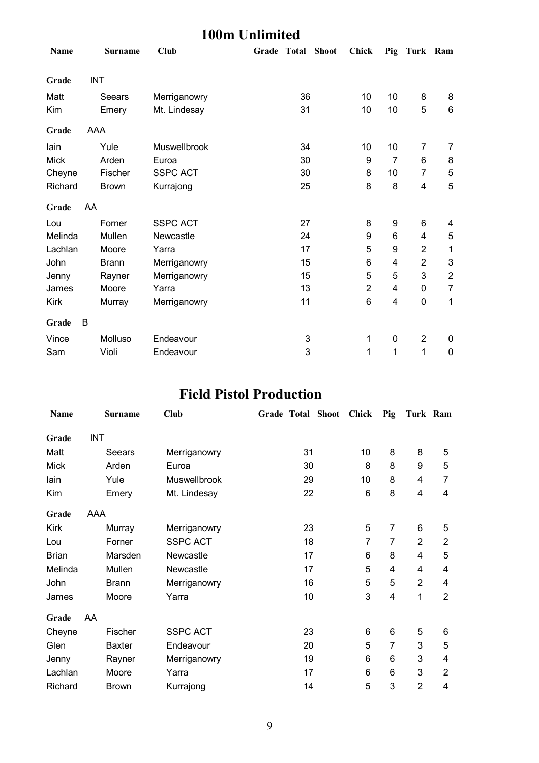### **100m Unlimited**

| <b>Name</b> | <b>Surname</b> | Club            | Grade Total |    | <b>Shoot</b> | <b>Chick</b>   |                | Pig Turk Ram   |                |
|-------------|----------------|-----------------|-------------|----|--------------|----------------|----------------|----------------|----------------|
| Grade       | <b>INT</b>     |                 |             |    |              |                |                |                |                |
| Matt        | Seears         | Merriganowry    |             | 36 |              | 10             | 10             | 8              | 8              |
| Kim         | Emery          | Mt. Lindesay    |             | 31 |              | 10             | 10             | 5              | $\,6\,$        |
| Grade       | AAA            |                 |             |    |              |                |                |                |                |
| lain        | Yule           | Muswellbrook    |             | 34 |              | 10             | 10             | 7              | 7              |
| <b>Mick</b> | Arden          | Euroa           |             | 30 |              | 9              | $\overline{7}$ | 6              | 8              |
| Cheyne      | Fischer        | <b>SSPC ACT</b> |             | 30 |              | 8              | 10             | 7              | 5              |
| Richard     | <b>Brown</b>   | Kurrajong       |             | 25 |              | 8              | 8              | 4              | 5              |
| Grade       | AA             |                 |             |    |              |                |                |                |                |
| Lou         | Forner         | <b>SSPC ACT</b> |             | 27 |              | 8              | 9              | 6              | 4              |
| Melinda     | Mullen         | Newcastle       |             | 24 |              | 9              | 6              | 4              | 5              |
| Lachlan     | Moore          | Yarra           |             | 17 |              | 5              | 9              | $\overline{2}$ | 1              |
| John        | <b>Brann</b>   | Merriganowry    |             | 15 |              | 6              | 4              | $\overline{2}$ | 3              |
| Jenny       | Rayner         | Merriganowry    |             | 15 |              | 5              | 5              | 3              | $\overline{2}$ |
| James       | Moore          | Yarra           |             | 13 |              | $\overline{2}$ | 4              | $\pmb{0}$      | 7              |
| <b>Kirk</b> | Murray         | Merriganowry    |             | 11 |              | 6              | 4              | $\pmb{0}$      | 1              |
| Grade       | B              |                 |             |    |              |                |                |                |                |
| Vince       | Molluso        | Endeavour       |             | 3  |              | 1              | $\mathbf 0$    | $\overline{2}$ | 0              |
| Sam         | Violi          | Endeavour       |             | 3  |              | 1              | 1              | 1              | $\mathbf 0$    |

### **Field Pistol Production**

| <b>Name</b>  |            | <b>Surname</b> | <b>Club</b>     | Grade Total Shoot | <b>Chick</b> | Pig                     | Turk Ram       |                |
|--------------|------------|----------------|-----------------|-------------------|--------------|-------------------------|----------------|----------------|
| Grade        | <b>INT</b> |                |                 |                   |              |                         |                |                |
| Matt         |            | Seears         | Merriganowry    | 31                | 10           | 8                       | 8              | 5              |
| <b>Mick</b>  |            | Arden          | Euroa           | 30                | 8            | 8                       | 9              | 5              |
| lain         |            | Yule           | Muswellbrook    | 29                | 10           | 8                       | 4              | 7              |
| Kim          |            | Emery          | Mt. Lindesay    | 22                | 6            | 8                       | 4              | 4              |
| Grade        | AAA        |                |                 |                   |              |                         |                |                |
| <b>Kirk</b>  |            | Murray         | Merriganowry    | 23                | 5            | $\overline{7}$          | 6              | 5              |
| Lou          |            | Forner         | <b>SSPC ACT</b> | 18                | 7            | 7                       | $\overline{2}$ | $\overline{2}$ |
| <b>Brian</b> |            | Marsden        | Newcastle       | 17                | 6            | 8                       | 4              | 5              |
| Melinda      |            | Mullen         | Newcastle       | 17                | 5            | 4                       | 4              | 4              |
| John         |            | <b>Brann</b>   | Merriganowry    | 16                | 5            | 5                       | $\overline{2}$ | 4              |
| James        |            | Moore          | Yarra           | 10                | 3            | $\overline{\mathbf{4}}$ | 1              | $\overline{2}$ |
| Grade        | AA         |                |                 |                   |              |                         |                |                |
| Cheyne       |            | Fischer        | <b>SSPC ACT</b> | 23                | 6            | 6                       | 5              | 6              |
| Glen         |            | <b>Baxter</b>  | Endeavour       | 20                | 5            | 7                       | 3              | 5              |
| Jenny        |            | Rayner         | Merriganowry    | 19                | 6            | 6                       | 3              | 4              |
| Lachlan      |            | Moore          | Yarra           | 17                | 6            | 6                       | 3              | $\overline{2}$ |
| Richard      |            | <b>Brown</b>   | Kurrajong       | 14                | 5            | 3                       | $\overline{2}$ | 4              |